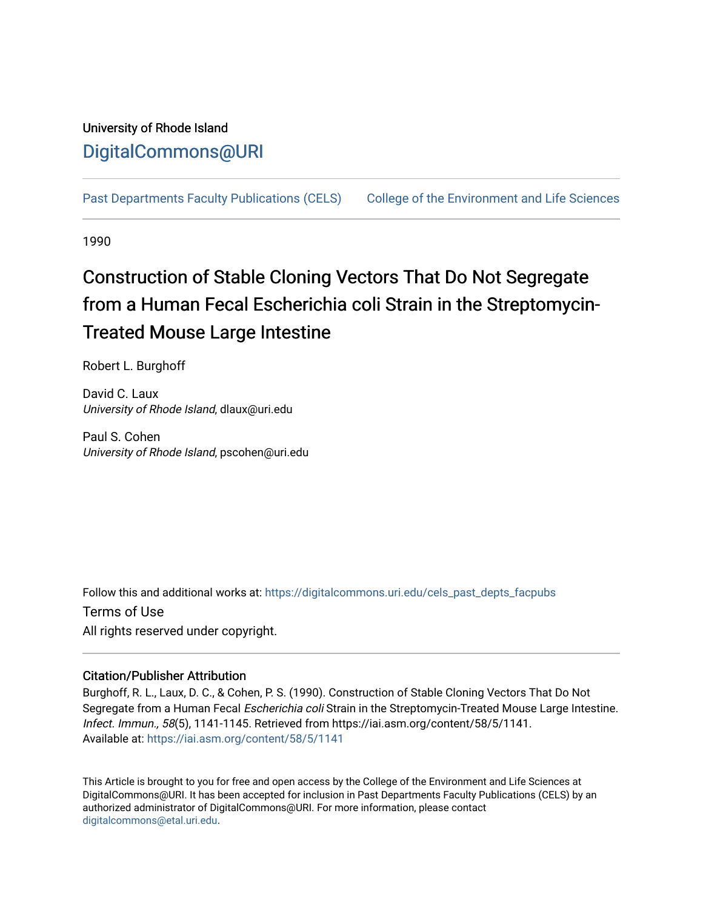## University of Rhode Island [DigitalCommons@URI](https://digitalcommons.uri.edu/)

[Past Departments Faculty Publications \(CELS\)](https://digitalcommons.uri.edu/cels_past_depts_facpubs) [College of the Environment and Life Sciences](https://digitalcommons.uri.edu/cels) 

1990

# Construction of Stable Cloning Vectors That Do Not Segregate from a Human Fecal Escherichia coli Strain in the Streptomycin-Treated Mouse Large Intestine

Robert L. Burghoff

David C. Laux University of Rhode Island, dlaux@uri.edu

Paul S. Cohen University of Rhode Island, pscohen@uri.edu

Follow this and additional works at: [https://digitalcommons.uri.edu/cels\\_past\\_depts\\_facpubs](https://digitalcommons.uri.edu/cels_past_depts_facpubs?utm_source=digitalcommons.uri.edu%2Fcels_past_depts_facpubs%2F40&utm_medium=PDF&utm_campaign=PDFCoverPages) 

Terms of Use All rights reserved under copyright.

### Citation/Publisher Attribution

Burghoff, R. L., Laux, D. C., & Cohen, P. S. (1990). Construction of Stable Cloning Vectors That Do Not Segregate from a Human Fecal Escherichia coli Strain in the Streptomycin-Treated Mouse Large Intestine. Infect. Immun., 58(5), 1141-1145. Retrieved from https://iai.asm.org/content/58/5/1141. Available at:<https://iai.asm.org/content/58/5/1141>

This Article is brought to you for free and open access by the College of the Environment and Life Sciences at DigitalCommons@URI. It has been accepted for inclusion in Past Departments Faculty Publications (CELS) by an authorized administrator of DigitalCommons@URI. For more information, please contact [digitalcommons@etal.uri.edu](mailto:digitalcommons@etal.uri.edu).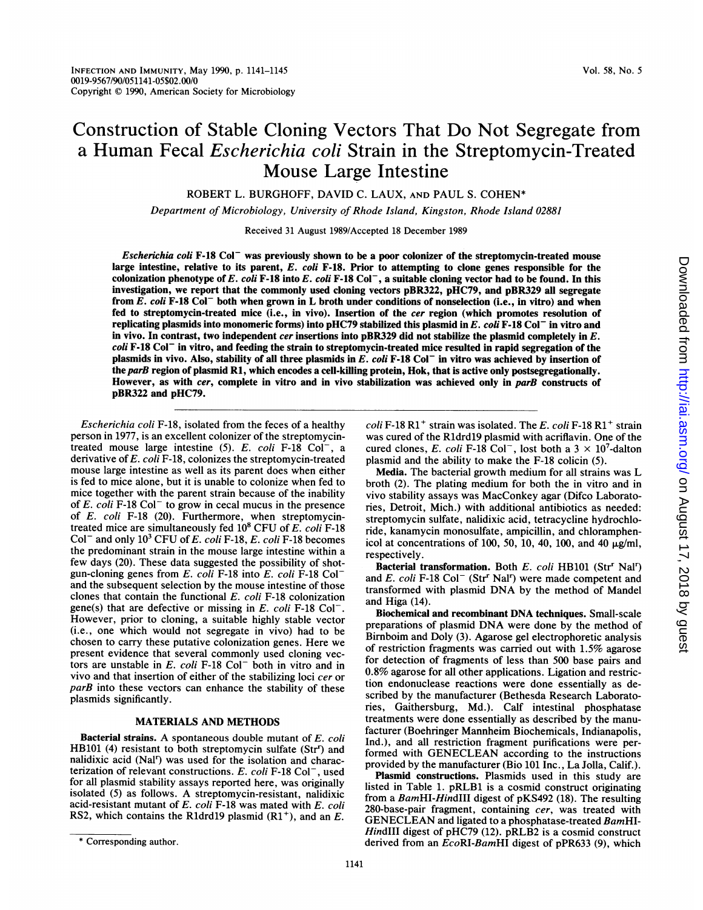## Construction of Stable Cloning Vectors That Do Not Segregate from a Human Fecal Escherichia coli Strain in the Streptomycin-Treated Mouse Large Intestine

ROBERT L. BURGHOFF, DAVID C. LAUX, AND PAUL S. COHEN\*

Department of Microbiology, University of Rhode Island, Kingston, Rhode Island 02881

Received 31 August 1989/Accepted 18 December 1989

Escherichia coli F-18 Col<sup>-</sup> was previously shown to be a poor colonizer of the streptomycin-treated mouse large intestine, relative to its parent,  $E.$  coli F-18. Prior to attempting to clone genes responsible for the colonization phenotype of E. coli F-18 into E. coli F-18 Col<sup>-</sup>, a suitable cloning vector had to be found. In this investigation, we report that the commonly used cloning vectors pBR322, pHC79, and pBR329 all segregate from E. coli F-18 Col<sup>-</sup> both when grown in L broth under conditions of nonselection (i.e., in vitro) and when fed to streptomycin-treated mice (i.e., in vivo). Insertion of the cer region (which promotes resolution of replicating plasmids into monomeric forms) into pHC79 stabilized this plasmid in E. coli F-18 Col<sup>-</sup> in vitro and in vivo. In contrast, two independent cer insertions into pBR329 did not stabilize the plasmid completely in E. coli F-18 Col<sup>-</sup> in vitro, and feeding the strain to streptomycin-treated mice resulted in rapid segregation of the plasmids in vivo. Also, stability of all three plasmids in E. coli F-18 Col<sup>-</sup> in vitro was achieved by insertion of the parB region of plasmid R1, which encodes a cell-killing protein, Hok, that is active only postsegregationally. However, as with cer, complete in vitro and in vivo stabilization was achieved only in parB constructs of pBR322 and pHC79.

Escherichia coli F-18, isolated from the feces of a healthy person in 1977, is an excellent colonizer of the streptomycintreated mouse large intestine  $(5)$ . E. coli F-18 Col<sup>-</sup>, a derivative of  $E.$  coli  $F-18$ , colonizes the streptomycin-treated mouse large intestine as well as its parent does when either is fed to mice alone, but it is unable to colonize when fed to mice together with the parent strain because of the inability of  $E.$  coli F-18 Col<sup>-</sup> to grow in cecal mucus in the presence of E. coli F-18 (20). Furthermore, when streptomycintreated mice are simultaneously fed  $10^8$  CFU of E. coli F-18 Col<sup>-</sup> and only  $10^3$  CFU of E. coli F-18, E. coli F-18 becomes the predominant strain in the mouse large intestine within a few days (20). These data suggested the possibility of shotgun-cloning genes from  $E$ . coli F-18 into  $E$ . coli F-18 Col<sup>-</sup> and the subsequent selection by the mouse intestine of those clones that contain the functional E. coli F-18 colonization gene(s) that are defective or missing in  $E$ . coli F-18 Col<sup>-</sup>. However, prior to cloning, a suitable highly stable vector (i.e., one which would not segregate in vivo) had to be chosen to carry these putative colonization genes. Here we present evidence that several commonly used cloning vectors are unstable in  $E$ . coli  $F-18$  Col<sup>-</sup> both in vitro and in vivo and that insertion of either of the stabilizing loci cer or parB into these vectors can enhance the stability of these plasmids significantly.

#### MATERIALS AND METHODS

Bacterial strains. A spontaneous double mutant of E. coli HB101 (4) resistant to both streptomycin sulfate (Str<sup>r</sup>) and nalidixic acid (Nal<sup>r</sup>) was used for the isolation and characterization of relevant constructions. E. coli F-18 Col<sup>-</sup>, used for all plasmid stability assays reported here, was originally isolated (5) as follows. A streptomycin-resistant, nalidixic acid-resistant mutant of E. coli F-18 was mated with E. coli RS2, which contains the R1drd19 plasmid  $(R1<sup>+</sup>)$ , and an E.  $\text{coll } F$ -18 R1<sup>+</sup> strain was isolated. The E. coli F-18 R1<sup>+</sup> strain was cured of the Rldrdl9 plasmid with acriflavin. One of the cured clones, E. coli F-18 Col<sup>-</sup>, lost both a  $3 \times 10^7$ -dalton plasmid and the ability to make the F-18 colicin (5).

Media. The bacterial growth medium for all strains was L broth (2). The plating medium for both the in vitro and in vivo stability assays was MacConkey agar (Difco Laboratories, Detroit, Mich.) with additional antibiotics as needed: streptomycin sulfate, nalidixic acid, tetracycline hydrochloride, kanamycin monosulfate, ampicillin, and chloramphenicol at concentrations of 100, 50, 10, 40, 100, and 40  $\mu$ g/ml, respectively.

Bacterial transformation. Both  $E.$  coli HB101 (Str<sup>r</sup> Nal<sup>r</sup>) and E. coli F-18 Col<sup>-</sup> (Str<sup>r</sup> Nal<sup>r</sup>) were made competent and transformed with plasmid DNA by the method of Mandel and Higa (14).

Biochemical and recombinant DNA techniques. Small-scale preparations of plasmid DNA were done by the method of Bimboim and Doly (3). Agarose gel electrophoretic analysis of restriction fragments was carried out with 1.5% agarose for detection of fragments of less than 500 base pairs and 0.8% agarose for all other applications. Ligation and restriction endonuclease reactions were done essentially as described by the manufacturer (Bethesda Research Laboratories, Gaithersburg, Md.). Calf intestinal phosphatase treatments were done essentially as described by the manufacturer (Boehringer Mannheim Biochemicals, Indianapolis, Ind.), and all restriction fragment purifications were performed with GENECLEAN according to the instructions provided by the manufacturer (Bio 101 Inc., La Jolla, Calif.).

Plasmid constructions. Plasmids used in this study are listed in Table 1. pRLB1 is a cosmid construct originating from a BamHI-HindIII digest of pKS492 (18). The resulting 280-base-pair fragment, containing cer, was treated with GENECLEAN and ligated to <sup>a</sup> phosphatase-treated BamHI-HindIII digest of pHC79 (12). pRLB2 is a cosmid construct derived from an  $EcoRI-BamHI$  digest of pPR633 (9), which

<sup>\*</sup> Corresponding author.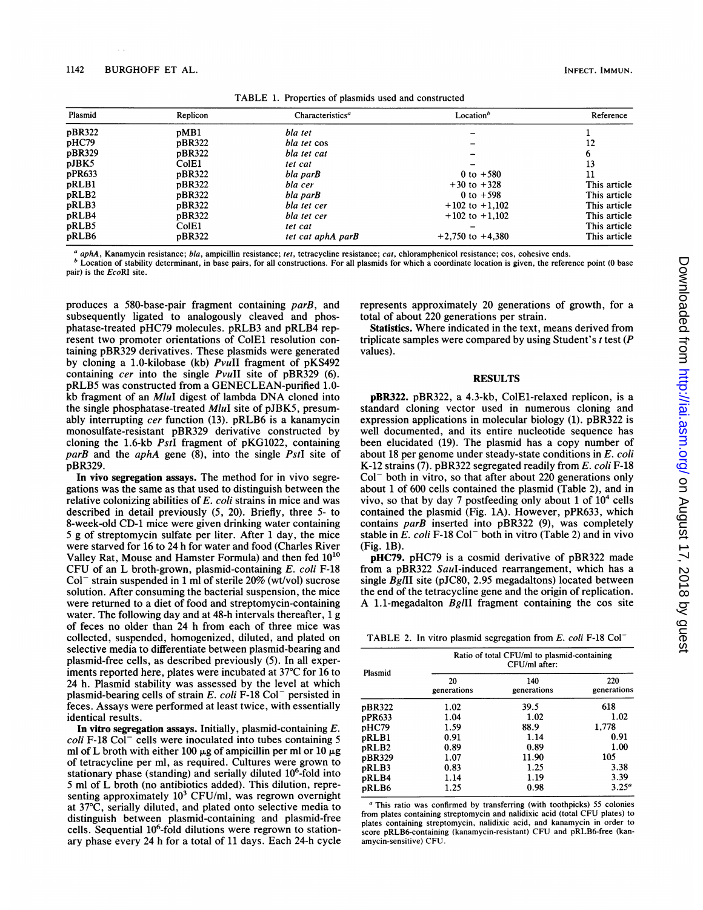| Plasmid | Replicon | Characteristics <sup>a</sup> | Location <sup>b</sup> | Reference    |
|---------|----------|------------------------------|-----------------------|--------------|
| pBR322  | pMB1     | bla tet                      |                       |              |
| pHC79   | pBR322   | bla tet cos                  |                       | 12           |
| pBR329  | pBR322   | bla tet cat                  |                       |              |
| pJBK5   | ColE1    | tet cat                      |                       |              |
| pPR633  | pBR322   | bla par <b>B</b>             | 0 to $+580$           |              |
| pRLB1   | pBR322   | bla cer                      | $+30$ to $+328$       | This article |
| pRLB2   | pBR322   | bla par <b>B</b>             | 0 to $+598$           | This article |
| pRLB3   | pBR322   | bla tet cer                  | $+102$ to $+1,102$    | This article |
| pRLB4   | pBR322   | bla tet cer                  | $+102$ to $+1.102$    | This article |
| pRLB5   | ColE1    | tet cat                      |                       | This article |
| pRLB6   | pBR322   | tet cat aphA parB            | $+2,750$ to $+4,380$  | This article |

aphA, Kanamycin resistance; bla, ampicillin resistance; tet, tetracycline resistance; cat, chloramphenicol resistance; cos, cohesive ends.

 $<sup>b</sup>$  Location of stability determinant, in base pairs, for all constructions. For all plasmids for which a coordinate location is given, the reference point (0 base</sup> pair) is the EcoRI site.

produces a 580-base-pair fragment containing parB, and subsequently ligated to analogously cleaved and phosphatase-treated pHC79 molecules. pRLB3 and pRLB4 represent two promoter orientations of ColEl resolution containing pBR329 derivatives. These plasmids were generated by cloning a 1.0-kilobase (kb) PvuII fragment of pKS492 containing cer into the single PvuII site of pBR329 (6). pRLB5 was constructed from a GENECLEAN-purified 1.0 kb fragment of an MluI digest of lambda DNA cloned into the single phosphatase-treated MluI site of pJBK5, presumably interrupting cer function (13). pRLB6 is a kanamycin monosulfate-resistant pBR329 derivative constructed by cloning the 1.6-kb PstI fragment of pKG1022, containing parB and the aphA gene (8), into the single PstI site of pBR329.

In vivo segregation assays. The method for in vivo segregations was the same as that used to distinguish between the relative colonizing abilities of E. coli strains in mice and was described in detail previously (5, 20). Briefly, three 5- to 8-week-old CD-1 mice were given drinking water containing 5 g of streptomycin sulfate per liter. After <sup>1</sup> day, the mice were starved for 16 to 24 h for water and food (Charles River Valley Rat, Mouse and Hamster Formula) and then fed 1010 CFU of an L broth-grown, plasmid-containing E. coli F-18  $Col^-$  strain suspended in 1 ml of sterile 20% (wt/vol) sucrose solution. After consuming the bacterial suspension, the mice were returned to a diet of food and streptomycin-containing water. The following day and at 48-h intervals thereafter, <sup>1</sup> g of feces no older than 24 h from each of three mice was collected, suspended, homogenized, diluted, and plated on selective media to differentiate between plasmid-bearing and plasmid-free cells, as described previously (5). In all experiments reported here, plates were incubated at 37°C for 16 to 24 h. Plasmid stability was assessed by the level at which plasmid-bearing cells of strain  $E$ . coli F-18 Col<sup>-</sup> persisted in feces. Assays were performed at least twice, with essentially identical results.

In vitro segregation assays. Initially, plasmid-containing  $E$ .  $\text{coll}$  F-18 Col<sup>-</sup> cells were inoculated into tubes containing 5 ml of L broth with either 100  $\mu$ g of ampicillin per ml or 10  $\mu$ g of tetracycline per ml, as required. Cultures were grown to stationary phase (standing) and serially diluted  $10<sup>6</sup>$ -fold into <sup>5</sup> ml of L broth (no antibiotics added). This dilution, representing approximately  $10<sup>3</sup>$  CFU/ml, was regrown overnight at 37°C, serially diluted, and plated onto selective media to distinguish between plasmid-containing and plasmid-free cells. Sequential 10<sup>6</sup>-fold dilutions were regrown to stationary phase every 24 h for a total of 11 days. Each 24-h cycle represents approximately 20 generations of growth, for a total of about 220 generations per strain.

Statistics. Where indicated in the text, means derived from triplicate samples were compared by using Student's  $t$  test ( $P$ values).

#### RESULTS

pBR322. pBR322, a 4.3-kb, ColEl-relaxed replicon, is a standard cloning vector used in numerous cloning and expression applications in molecular biology (1). pBR322 is well documented, and its entire nucleotide sequence has been elucidated (19). The plasmid has a copy number of about 18 per genome under steady-state conditions in E. coli K-12 strains (7). pBR322 segregated readily from E. coli F-18  $Col^-$  both in vitro, so that after about 220 generations only about <sup>1</sup> of 600 cells contained the plasmid (Table 2), and in vivo, so that by day 7 postfeeding only about 1 of  $10<sup>4</sup>$  cells contained the plasmid (Fig. 1A). However, pPR633, which contains parB inserted into pBR322 (9), was completely stable in  $\overline{E}$ . coli F-18 Col<sup>-</sup> both in vitro (Table 2) and in vivo (Fig. 1B).

pHC79. pHC79 is a cosmid derivative of pBR322 made from a pBR322 Saul-induced rearrangement, which has a single BglII site (pJC80, 2.95 megadaltons) located between the end of the tetracycline gene and the origin of replication. A 1.1-megadalton BglII fragment containing the cos site

TABLE 2. In vitro plasmid segregation from E. coli F-18 Col-

| Plasmid | Ratio of total CFU/ml to plasmid-containing<br>CFU/ml after: |                    |                    |  |
|---------|--------------------------------------------------------------|--------------------|--------------------|--|
|         | 20<br>generations                                            | 140<br>generations | 220<br>generations |  |
| pBR322  | 1.02                                                         | 39.5               | 618                |  |
| pPR633  | 1.04                                                         | 1.02               | 1.02               |  |
| pHC79   | 1.59                                                         | 88.9               | 1.778              |  |
| pRLB1   | 0.91                                                         | 1.14               | 0.91               |  |
| pRLB2   | 0.89                                                         | 0.89               | 1.00               |  |
| pBR329  | 1.07                                                         | 11.90              | 105                |  |
| pRLB3   | 0.83                                                         | 1.25               | 3.38               |  |
| pRLB4   | 1.14                                                         | 1.19               | 3.39               |  |
| pRLB6   | 1.25                                                         | 0.98               | $3.25^{\circ}$     |  |

<sup>a</sup> This ratio was confirmed by transferring (with toothpicks) <sup>55</sup> colonies from plates containing streptomycin and nalidixic acid (total CFU plates) to plates containing streptomycin, nalidixic acid, and kanamycin in order to score pRLB6-containing (kanamycin-resistant) CFU and pRLB6-free (kanamycin-sensitive) CFU.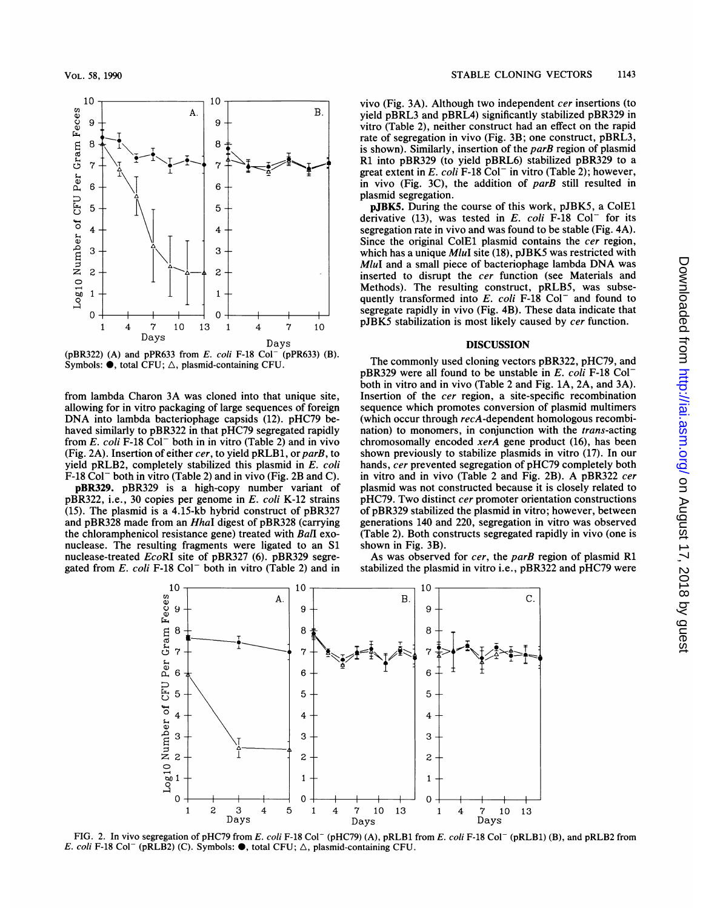

(pBR322) (A) and pPR633 from E. coli F-18 Col<sup>-</sup> (pPR633) (B). Symbols:  $\bullet$ , total CFU;  $\triangle$ , plasmid-containing CFU.

from lambda Charon 3A was cloned into that unique site, allowing for in vitro packaging of large sequences of foreign DNA into lambda bacteriophage capsids (12). pHC79 behaved similarly to pBR322 in that pHC79 segregated rapidly from E. coli F-18 Col<sup>-</sup> both in in vitro (Table 2) and in vivo (Fig. 2A). Insertion of either cer, to yield pRLB1, or parB, to yield pRLB2, completely stabilized this plasmid in E. coli F-18 Col<sup>-</sup> both in vitro (Table 2) and in vivo (Fig. 2B and C).

pBR329. pBR329 is a high-copy number variant of pBR322, i.e., 30 copies per genome in E. coli K-12 strains (15). The plasmid is a 4.15-kb hybrid construct of pBR327 and pBR328 made from an HhaI digest of pBR328 (carrying the chloramphenicol resistance gene) treated with BalI exonuclease. The resulting fragments were ligated to an S1 nuclease-treated EcoRI site of pBR327 (6). pBR329 segregated from  $E.$  coli F-18 Col<sup>-</sup> both in vitro (Table 2) and in vivo (Fig. 3A). Although two independent cer insertions (to yield pBRL3 and pBRL4) significantly stabilized pBR329 in vitro (Table 2), neither construct had an effect on the rapid rate of segregation in vivo (Fig. 3B; one construct, pBRL3, is shown). Similarly, insertion of the *parB* region of plasmid Rl into pBR329 (to yield pBRL6) stabilized pBR329 to a great extent in  $E.$  coli F-18 Col<sup>-</sup> in vitro (Table 2); however, in vivo (Fig. 3C), the addition of parB still resulted in plasmid segregation.

pJBK5. During the course of this work, pJBK5, a ColEl derivative (13), was tested in  $E$ . coli F-18 Col<sup>-</sup> for its segregation rate in vivo and was found to be stable (Fig. 4A). Since the original ColE1 plasmid contains the cer region, which has a unique MluI site (18), pJBK5 was restricted with MluI and <sup>a</sup> small piece of bacteriophage lambda DNA was inserted to disrupt the cer function (see Materials and Methods). The resulting construct, pRLB5, was subsequently transformed into E. coli F-18 Col<sup>-</sup> and found to segregate rapidly in vivo (Fig. 4B). These data indicate that pJBK5 stabilization is most likely caused by cer function.

#### DISCUSSION

The commonly used cloning vectors pBR322, pHC79, and  $pBR329$  were all found to be unstable in E. coli F-18 Col<sup>-</sup> both in vitro and in vivo (Table 2 and Fig. 1A, 2A, and 3A). Insertion of the cer region, a site-specific recombination sequence which promotes conversion of plasmid multimers (which occur through recA-dependent homologous recombination) to monomers, in conjunction with the *trans*-acting chromosomally encoded xerA gene product (16), has been shown previously to stabilize plasmids in vitro (17). In our hands, cer prevented segregation of pHC79 completely both in vitro and in vivo (Table <sup>2</sup> and Fig. 2B). A pBR322 cer plasmid was not constructed because it is closely related to pHC79. Two distinct cer promoter orientation constructions of pBR329 stabilized the plasmid in vitro; however, between generations 140 and 220, segregation in vitro was observed (Table 2). Both constructs segregated rapidly in vivo (one is shown in Fig. 3B).

As was observed for cer, the parB region of plasmid R1 stabilized the plasmid in vitro i.e., pBR322 and pHC79 were



FIG. 2. In vivo segregation of pHC79 from E. coli F-18 Col<sup>-</sup> (pHC79) (A), pRLB1 from E. coli F-18 Col<sup>-</sup> (pRLB1) (B), and pRLB2 from E. coli F-18 Col<sup>-</sup> (pRLB2) (C). Symbols:  $\bullet$ , total CFU;  $\triangle$ , plasmid-containing CFU.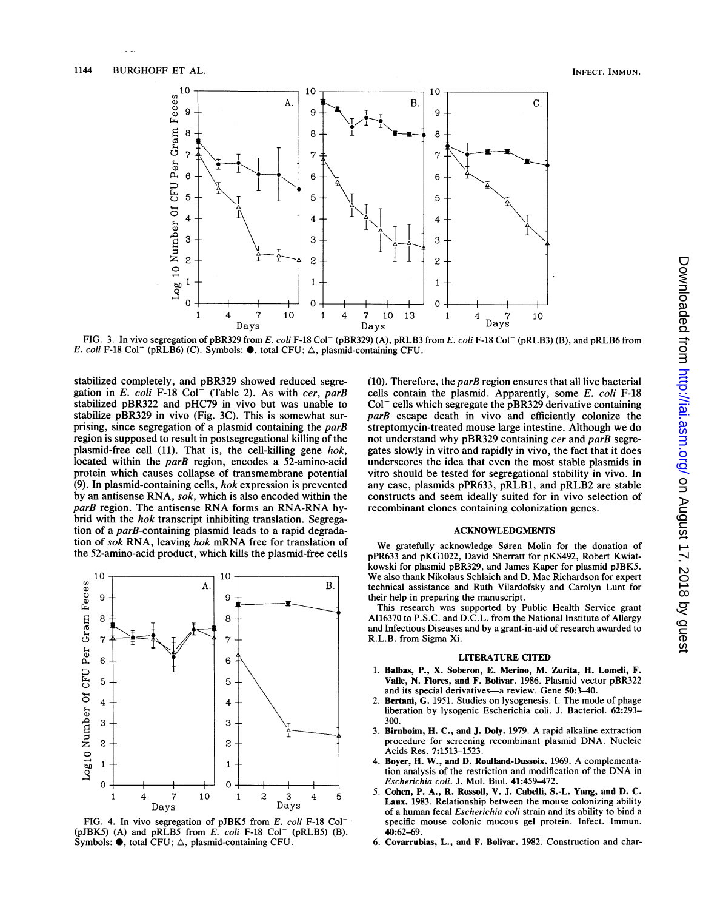

FIG. 3. In vivo segregation of pBR329 from E. coli F-18 Col<sup>-</sup> (pBR329) (A), pRLB3 from E. coli F-18 Col<sup>-</sup> (pRLB3) (B), and pRLB6 from E. coli F-18 Col<sup>-</sup> (pRLB6) (C). Symbols:  $\bullet$ , total CFU;  $\triangle$ , plasmid-containing CFU.

stabilized completely, and pBR329 showed reduced segregation in E. coli F-18 Col<sup>-</sup> (Table 2). As with cer, parB stabilized pBR322 and pHC79 in vivo but was unable to stabilize pBR329 in vivo (Fig. 3C). This is somewhat surprising, since segregation of a plasmid containing the *parB* region is supposed to result in postsegregational killing of the plasmid-free cell (11). That is, the cell-killing gene hok, located within the parB region, encodes a 52-amino-acid protein which causes collapse of transmembrane potential (9). In plasmid-containing cells, hok expression is prevented by an antisense RNA, sok, which is also encoded within the parB region. The antisense RNA forms an RNA-RNA hybrid with the hok transcript inhibiting translation. Segregation of a parB-containing plasmid leads to a rapid degradation of sok RNA, leaving hok mRNA free for translation of the 52-amino-acid product, which kills the plasmid-free cells



FIG. 4. In vivo segregation of pJBK5 from E. coli F-18 Col- (pJBK5) (A) and pRLB5 from  $E$ . coli F-18 Col<sup>-</sup> (pRLB5) (B). Symbols:  $\bullet$ , total CFU;  $\triangle$ , plasmid-containing CFU.

(10). Therefore, the  $parB$  region ensures that all live bacterial cells contain the plasmid. Apparently, some E. coli F-18  $Col^-$  cells which segregate the pBR329 derivative containing parB escape death in vivo and efficiently colonize the streptomycin-treated mouse large intestine. Although we do not understand why pBR329 containing cer and parB segregates slowly in vitro and rapidly in vivo, the fact that it does underscores the idea that even the most stable plasmids in vitro should be tested for segregational stability in vivo. In any case, plasmids pPR633, pRLB1, and pRLB2 are stable constructs and seem ideally suited for in vivo selection of recombinant clones containing colonization genes.

#### ACKNOWLEDGMENTS

We gratefully acknowledge Søren Molin for the donation of pPR633 and pKG1022, David Sherratt for pKS492, Robert Kwiatkowski for plasmid pBR329, and James Kaper for plasmid pJBK5. We also thank Nikolaus Schlaich and D. Mac Richardson for expert technical assistance and Ruth Vilardofsky and Carolyn Lunt for their help in preparing the manuscript.

This research was supported by Public Health Service grant A116370 to P.S.C. and D.C.L. from the National Institute of Allergy and Infectious Diseases and by a grant-in-aid of research awarded to R.L.B. from Sigma Xi.

#### LITERATURE CITED

- 1. Balbas, P., X. Soberon, E. Merino, M. Zurita, H. Lomeli, F. Valie, N. Flores, and F. Bolivar. 1986. Plasmid vector pBR322 and its special derivatives-a review. Gene 50:3-40.
- Bertani, G. 1951. Studies on lysogenesis. I. The mode of phage liberation by lysogenic Escherichia coli. J. Bacteriol. 62:293- 300.
- 3. Birnboim, H. C., and J. Doly. 1979. A rapid alkaline extraction procedure for screening recombinant plasmid DNA. Nucleic Acids Res. 7:1513-1523.
- Boyer, H. W., and D. Roulland-Dussoix. 1969. A complementation analysis of the restriction and modification of the DNA in Escherichia coli. J. Mol. Biol. 41:459-472.
- 5. Cohen, P. A., R. Rossoll, V. J. Cabelli, S.-L. Yang, and D. C. Laux. 1983. Relationship between the mouse colonizing ability of a human fecal Escherichia coli strain and its ability to bind a specific mouse colonic mucous gel protein. Infect. Immun. 40:62-69.
- 6. Covarrubias, L., and F. Bolivar. 1982. Construction and char-